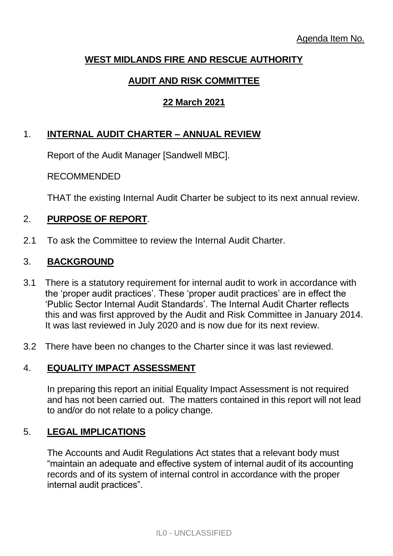# **WEST MIDLANDS FIRE AND RESCUE AUTHORITY**

# **AUDIT AND RISK COMMITTEE**

# **22 March 2021**

# 1. **INTERNAL AUDIT CHARTER – ANNUAL REVIEW**

Report of the Audit Manager [Sandwell MBC].

RECOMMENDED

THAT the existing Internal Audit Charter be subject to its next annual review.

## 2. **PURPOSE OF REPORT**.

2.1 To ask the Committee to review the Internal Audit Charter.

## 3. **BACKGROUND**

- 3.1 There is a statutory requirement for internal audit to work in accordance with the 'proper audit practices'. These 'proper audit practices' are in effect the 'Public Sector Internal Audit Standards'. The Internal Audit Charter reflects this and was first approved by the Audit and Risk Committee in January 2014. It was last reviewed in July 2020 and is now due for its next review.
- 3.2 There have been no changes to the Charter since it was last reviewed.

# 4. **EQUALITY IMPACT ASSESSMENT**

In preparing this report an initial Equality Impact Assessment is not required and has not been carried out. The matters contained in this report will not lead to and/or do not relate to a policy change.

## 5. **LEGAL IMPLICATIONS**

The Accounts and Audit Regulations Act states that a relevant body must "maintain an adequate and effective system of internal audit of its accounting records and of its system of internal control in accordance with the proper internal audit practices".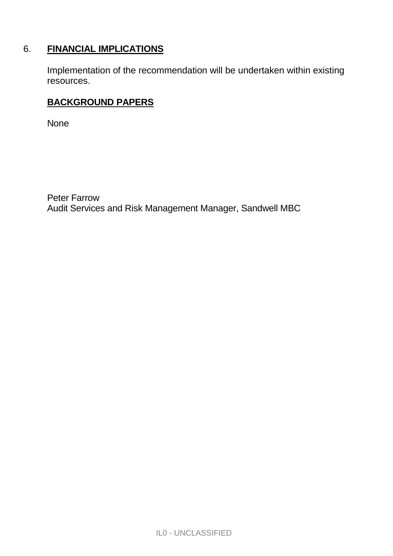# 6. **FINANCIAL IMPLICATIONS**

Implementation of the recommendation will be undertaken within existing resources.

# **BACKGROUND PAPERS**

None

Peter Farrow Audit Services and Risk Management Manager, Sandwell MBC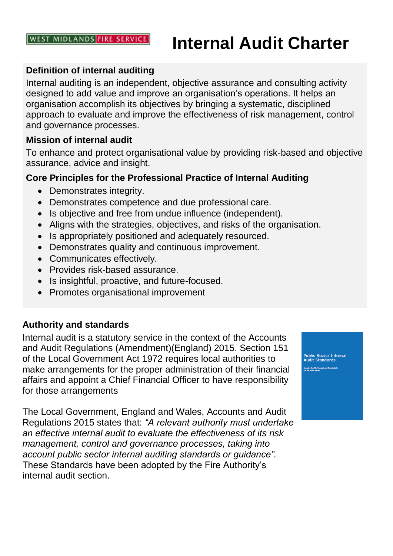#### **WEST MIDLANDS FIRE SERVICE**

# **Internal Audit Charter**

## **Definition of internal auditing**

Internal auditing is an independent, objective assurance and consulting activity designed to add value and improve an organisation's operations. It helps an organisation accomplish its objectives by bringing a systematic, disciplined approach to evaluate and improve the effectiveness of risk management, control and governance processes.

#### **Mission of internal audit**

To enhance and protect organisational value by providing risk-based and objective assurance, advice and insight.

## **Core Principles for the Professional Practice of Internal Auditing**

- Demonstrates integrity.
- Demonstrates competence and due professional care.
- Is objective and free from undue influence (independent).
- Aligns with the strategies, objectives, and risks of the organisation.
- Is appropriately positioned and adequately resourced.
- Demonstrates quality and continuous improvement.
- Communicates effectively.
- Provides risk-based assurance.
- Is insightful, proactive, and future-focused.
- Promotes organisational improvement

## **Authority and standards**

Internal audit is a statutory service in the context of the Accounts and Audit Regulations (Amendment)(England) 2015. Section 151 of the Local Government Act 1972 requires local authorities to make arrangements for the proper administration of their financial affairs and appoint a Chief Financial Officer to have responsibility for those arrangements

The Local Government, England and Wales, Accounts and Audit Regulations 2015 states that: *"A relevant authority must undertake an effective internal audit to evaluate the effectiveness of its risk management, control and governance processes, taking into account public sector internal auditing standards or guidance".*  These Standards have been adopted by the Fire Authority's internal audit section.

Public Sector Internal<br>Audit Standards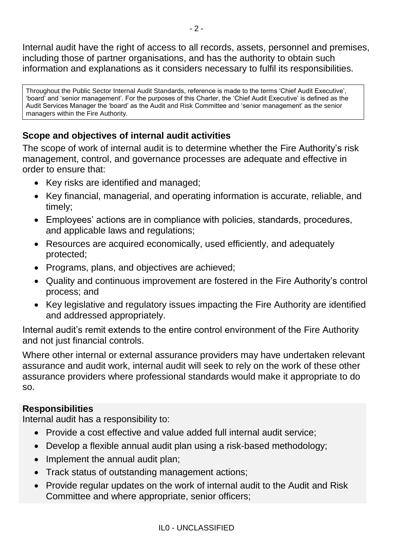Internal audit have the right of access to all records, assets, personnel and premises, including those of partner organisations, and has the authority to obtain such information and explanations as it considers necessary to fulfil its responsibilities.

Throughout the Public Sector Internal Audit Standards, reference is made to the terms 'Chief Audit Executive', 'board' and 'senior management'. For the purposes of this Charter, the 'Chief Audit Executive' is defined as the Audit Services Manager the 'board' as the Audit and Risk Committee and 'senior management' as the senior managers within the Fire Authority.

# **Scope and objectives of internal audit activities**

The scope of work of internal audit is to determine whether the Fire Authority's risk management, control, and governance processes are adequate and effective in order to ensure that:

- Key risks are identified and managed;
- Key financial, managerial, and operating information is accurate, reliable, and timely;
- Employees' actions are in compliance with policies, standards, procedures, and applicable laws and regulations;
- Resources are acquired economically, used efficiently, and adequately protected;
- Programs, plans, and objectives are achieved;
- Quality and continuous improvement are fostered in the Fire Authority's control process; and
- Key legislative and regulatory issues impacting the Fire Authority are identified and addressed appropriately.

Internal audit's remit extends to the entire control environment of the Fire Authority and not just financial controls.

Where other internal or external assurance providers may have undertaken relevant assurance and audit work, internal audit will seek to rely on the work of these other assurance providers where professional standards would make it appropriate to do so.

# **Responsibilities**

Internal audit has a responsibility to:

- Provide a cost effective and value added full internal audit service;
- Develop a flexible annual audit plan using a risk-based methodology;
- Implement the annual audit plan;
- Track status of outstanding management actions;
- Provide regular updates on the work of internal audit to the Audit and Risk Committee and where appropriate, senior officers;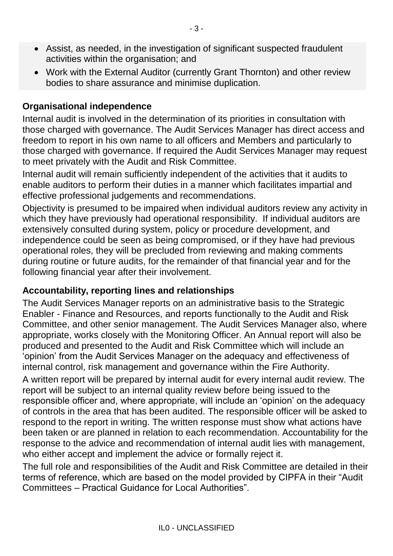- Assist, as needed, in the investigation of significant suspected fraudulent activities within the organisation; and
- Work with the External Auditor (currently Grant Thornton) and other review bodies to share assurance and minimise duplication.

## **Organisational independence**

Internal audit is involved in the determination of its priorities in consultation with those charged with governance. The Audit Services Manager has direct access and freedom to report in his own name to all officers and Members and particularly to those charged with governance. If required the Audit Services Manager may request to meet privately with the Audit and Risk Committee.

Internal audit will remain sufficiently independent of the activities that it audits to enable auditors to perform their duties in a manner which facilitates impartial and effective professional judgements and recommendations.

Objectivity is presumed to be impaired when individual auditors review any activity in which they have previously had operational responsibility. If individual auditors are extensively consulted during system, policy or procedure development, and independence could be seen as being compromised, or if they have had previous operational roles, they will be precluded from reviewing and making comments during routine or future audits, for the remainder of that financial year and for the following financial year after their involvement.

## **Accountability, reporting lines and relationships**

The Audit Services Manager reports on an administrative basis to the Strategic Enabler - Finance and Resources, and reports functionally to the Audit and Risk Committee, and other senior management. The Audit Services Manager also, where appropriate, works closely with the Monitoring Officer. An Annual report will also be produced and presented to the Audit and Risk Committee which will include an 'opinion' from the Audit Services Manager on the adequacy and effectiveness of internal control, risk management and governance within the Fire Authority.

A written report will be prepared by internal audit for every internal audit review. The report will be subject to an internal quality review before being issued to the responsible officer and, where appropriate, will include an 'opinion' on the adequacy of controls in the area that has been audited. The responsible officer will be asked to respond to the report in writing. The written response must show what actions have been taken or are planned in relation to each recommendation. Accountability for the response to the advice and recommendation of internal audit lies with management, who either accept and implement the advice or formally reject it.

The full role and responsibilities of the Audit and Risk Committee are detailed in their terms of reference, which are based on the model provided by CIPFA in their "Audit Committees – Practical Guidance for Local Authorities".